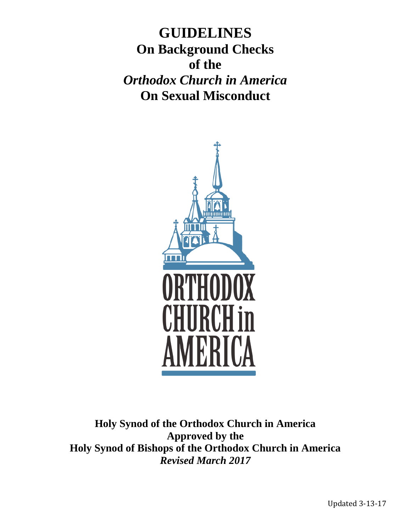**GUIDELINES On Background Checks of the** *Orthodox Church in America* **On Sexual Misconduct**



**Holy Synod of the Orthodox Church in America Approved by the Holy Synod of Bishops of the Orthodox Church in America** *Revised March 2017*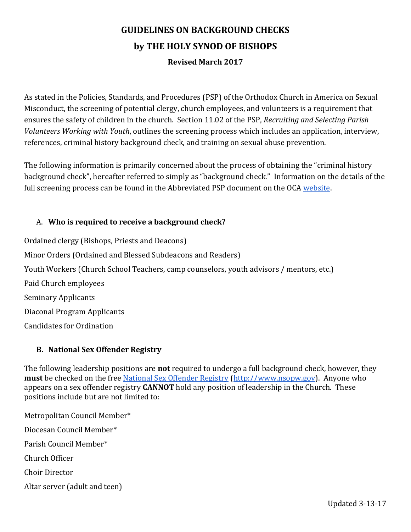# **GUIDELINES ON BACKGROUND CHECKS by THE HOLY SYNOD OF BISHOPS Revised March 2017**

As stated in the Policies, Standards, and Procedures (PSP) of the Orthodox Church in America on Sexual Misconduct, the screening of potential clergy, church employees, and volunteers is a requirement that ensures the safety of children in the church. Section 11.02 of the PSP, *Recruiting and Selecting Parish Volunteers Working with Youth*, outlines the screening process which includes an application, interview, references, criminal history background check, and training on sexual abuse prevention.

The following information is primarily concerned about the process of obtaining the "criminal history background check", hereafter referred to simply as "background check." Information on the details of the full screening process can be found in the Abbreviated PSP document on the OCA [website.](https://oca.org/about/sexual-misconduct)

## A. **Who is required to receive a background check?**

Ordained clergy (Bishops, Priests and Deacons) Minor Orders (Ordained and Blessed Subdeacons and Readers) Youth Workers (Church School Teachers, camp counselors, youth advisors / mentors, etc.) Paid Church employees Seminary Applicants Diaconal Program Applicants Candidates for Ordination

## **B. National Sex Offender Registry**

The following leadership positions are **not** required to undergo a full background check, however, they **must** be checked on the free [National Sex Offender Registry](http://www.nsopw.gov/) [\(http://www.nsopw.gov\)](http://www.nsopw.gov/). Anyone who appears on a sex offender registry **CANNOT** hold any position of leadership in the Church. These positions include but are not limited to:

Metropolitan Council Member\* Diocesan Council Member\* Parish Council Member\* Church Officer Choir Director Altar server (adult and teen)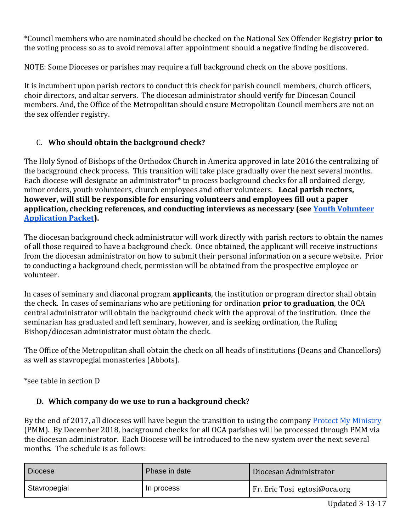\*Council members who are nominated should be checked on the National Sex Offender Registry **prior to** the voting process so as to avoid removal after appointment should a negative finding be discovered.

NOTE: Some Dioceses or parishes may require a full background check on the above positions.

It is incumbent upon parish rectors to conduct this check for parish council members, church officers, choir directors, and altar servers. The diocesan administrator should verify for Diocesan Council members. And, the Office of the Metropolitan should ensure Metropolitan Council members are not on the sex offender registry.

# C. **Who should obtain the background check?**

The Holy Synod of Bishops of the Orthodox Church in America approved in late 2016 the centralizing of the background check process. This transition will take place gradually over the next several months. Each diocese will designate an administrator<sup>\*</sup> to process background checks for all ordained clergy, minor orders, youth volunteers, church employees and other volunteers. **Local parish rectors, however, will still be responsible for ensuring volunteers and employees fill out a paper application, checking references, and conducting interviews as necessary (see [Youth Volunteer](https://oca.org/about/sexual-misconduct)  [Application Packet\)](https://oca.org/about/sexual-misconduct).** 

The diocesan background check administrator will work directly with parish rectors to obtain the names of all those required to have a background check. Once obtained, the applicant will receive instructions from the diocesan administrator on how to submit their personal information on a secure website. Prior to conducting a background check, permission will be obtained from the prospective employee or volunteer.

In cases of seminary and diaconal program **applicants**, the institution or program director shall obtain the check. In cases of seminarians who are petitioning for ordination **prior to graduation**, the OCA central administrator will obtain the background check with the approval of the institution. Once the seminarian has graduated and left seminary, however, and is seeking ordination, the Ruling Bishop/diocesan administrator must obtain the check.

The Office of the Metropolitan shall obtain the check on all heads of institutions (Deans and Chancellors) as well as stavropegial monasteries (Abbots).

\*see table in section D

# **D. Which company do we use to run a background check?**

By the end of 2017, all dioceses will have begun the transition to using the company [Protect My Ministry](http://www.protectmyministry.com/) (PMM). By December 2018, background checks for all OCA parishes will be processed through PMM via the diocesan administrator. Each Diocese will be introduced to the new system over the next several months. The schedule is as follows:

| <b>Diocese</b> | Phase in date | Diocesan Administrator       |
|----------------|---------------|------------------------------|
| Stavropegial   | In process    | Fr. Eric Tosi egtosi@oca.org |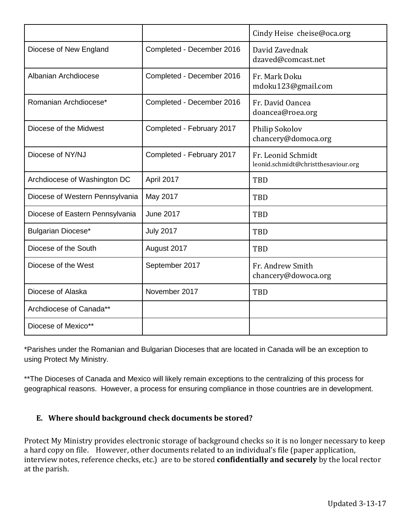|                                 |                           | Cindy Heise cheise@oca.org                                |
|---------------------------------|---------------------------|-----------------------------------------------------------|
| Diocese of New England          | Completed - December 2016 | David Zavednak<br>dzaved@comcast.net                      |
| Albanian Archdiocese            | Completed - December 2016 | Fr. Mark Doku<br>mdoku123@gmail.com                       |
| Romanian Archdiocese*           | Completed - December 2016 | Fr. David Oancea<br>doancea@roea.org                      |
| Diocese of the Midwest          | Completed - February 2017 | Philip Sokolov<br>chancery@domoca.org                     |
| Diocese of NY/NJ                | Completed - February 2017 | Fr. Leonid Schmidt<br>leonid.schmidt@christthesaviour.org |
| Archdiocese of Washington DC    | April 2017                | TBD                                                       |
| Diocese of Western Pennsylvania | May 2017                  | <b>TBD</b>                                                |
| Diocese of Eastern Pennsylvania | <b>June 2017</b>          | <b>TBD</b>                                                |
| Bulgarian Diocese*              | <b>July 2017</b>          | <b>TBD</b>                                                |
| Diocese of the South            | August 2017               | <b>TBD</b>                                                |
| Diocese of the West             | September 2017            | Fr. Andrew Smith<br>chancery@dowoca.org                   |
| Diocese of Alaska               | November 2017             | <b>TBD</b>                                                |
| Archdiocese of Canada**         |                           |                                                           |
| Diocese of Mexico**             |                           |                                                           |

\*Parishes under the Romanian and Bulgarian Dioceses that are located in Canada will be an exception to using Protect My Ministry.

\*\*The Dioceses of Canada and Mexico will likely remain exceptions to the centralizing of this process for geographical reasons. However, a process for ensuring compliance in those countries are in development.

## **E. Where should background check documents be stored?**

Protect My Ministry provides electronic storage of background checks so it is no longer necessary to keep a hard copy on file. However, other documents related to an individual's file (paper application, interview notes, reference checks, etc.) are to be stored **confidentially and securely** by the local rector at the parish.